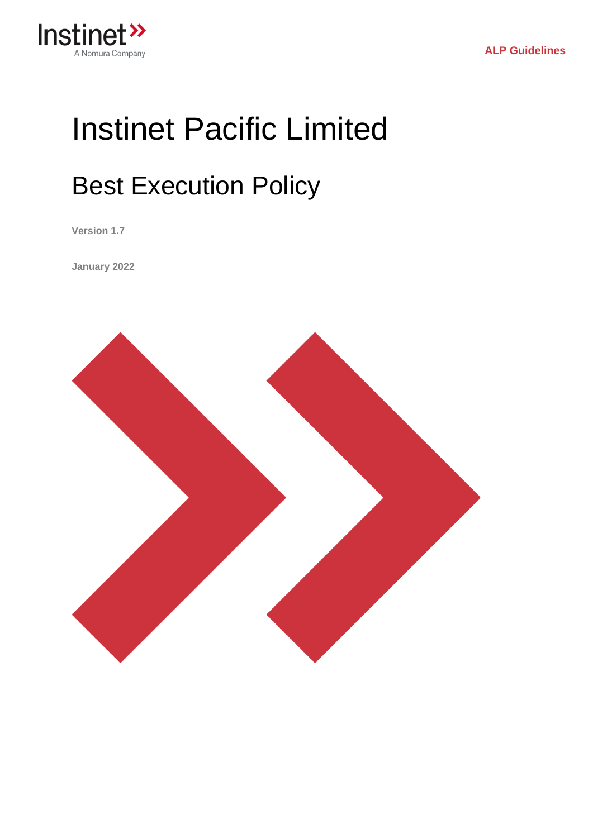

# Instinet Pacific Limited

# Best Execution Policy

**Version 1.7**

**January 2022**

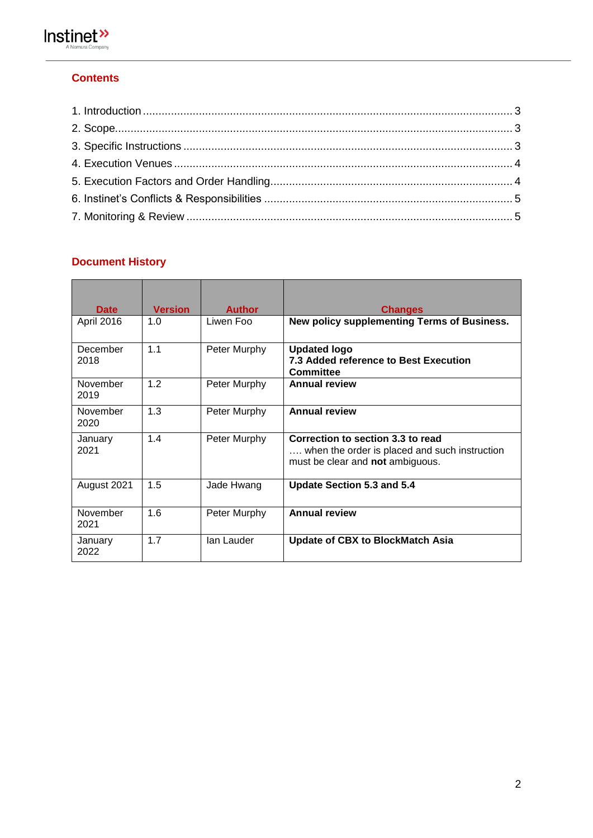

### **Contents**

#### **Document History**

| <b>Date</b>      | <b>Version</b> | <b>Author</b> | <b>Changes</b>                                                                                                         |
|------------------|----------------|---------------|------------------------------------------------------------------------------------------------------------------------|
| April 2016       | 1.0            | Liwen Foo     | New policy supplementing Terms of Business.                                                                            |
| December<br>2018 | 1.1            | Peter Murphy  | <b>Updated logo</b><br>7.3 Added reference to Best Execution<br>Committee                                              |
| November<br>2019 | 1.2            | Peter Murphy  | <b>Annual review</b>                                                                                                   |
| November<br>2020 | 1.3            | Peter Murphy  | <b>Annual review</b>                                                                                                   |
| January<br>2021  | 1.4            | Peter Murphy  | Correction to section 3.3 to read<br>when the order is placed and such instruction<br>must be clear and not ambiguous. |
| August 2021      | 1.5            | Jade Hwang    | Update Section 5.3 and 5.4                                                                                             |
| November<br>2021 | 1.6            | Peter Murphy  | <b>Annual review</b>                                                                                                   |
| January<br>2022  | 1.7            | lan Lauder    | <b>Update of CBX to BlockMatch Asia</b>                                                                                |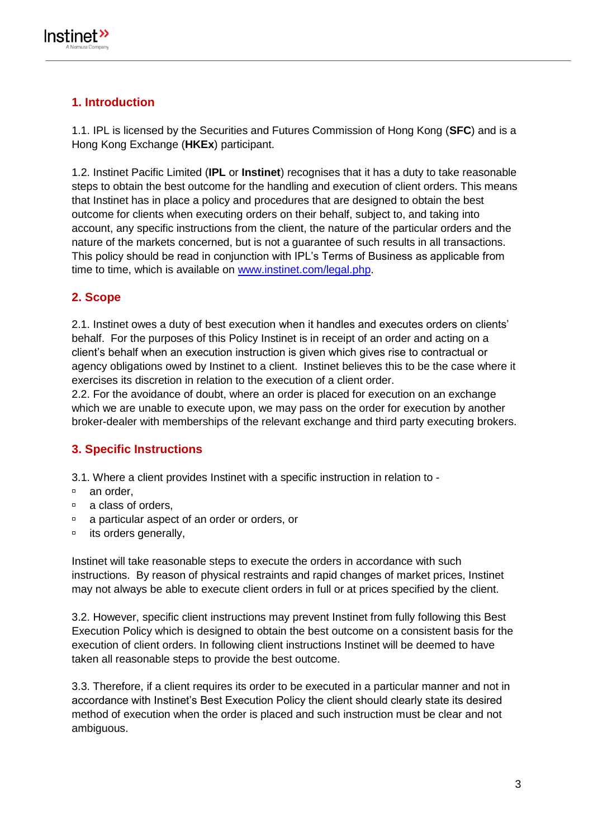## <span id="page-2-0"></span>**1. Introduction**

1.1. IPL is licensed by the Securities and Futures Commission of Hong Kong (**SFC**) and is a Hong Kong Exchange (**HKEx**) participant.

1.2. Instinet Pacific Limited (**IPL** or **Instinet**) recognises that it has a duty to take reasonable steps to obtain the best outcome for the handling and execution of client orders. This means that Instinet has in place a policy and procedures that are designed to obtain the best outcome for clients when executing orders on their behalf, subject to, and taking into account, any specific instructions from the client, the nature of the particular orders and the nature of the markets concerned, but is not a guarantee of such results in all transactions. This policy should be read in conjunction with IPL's Terms of Business as applicable from time to time, which is available on [www.instinet.com/legal.php.](http://www.instinet.com/legal.php)

### <span id="page-2-1"></span>**2. Scope**

2.1. Instinet owes a duty of best execution when it handles and executes orders on clients' behalf. For the purposes of this Policy Instinet is in receipt of an order and acting on a client's behalf when an execution instruction is given which gives rise to contractual or agency obligations owed by Instinet to a client. Instinet believes this to be the case where it exercises its discretion in relation to the execution of a client order.

2.2. For the avoidance of doubt, where an order is placed for execution on an exchange which we are unable to execute upon, we may pass on the order for execution by another broker-dealer with memberships of the relevant exchange and third party executing brokers.

#### <span id="page-2-2"></span>**3. Specific Instructions**

3.1. Where a client provides Instinet with a specific instruction in relation to -

- <sup>□</sup> an order.
- <sup>o</sup> a class of orders.
- a particular aspect of an order or orders, or
- $\overline{a}$  its orders generally,

Instinet will take reasonable steps to execute the orders in accordance with such instructions. By reason of physical restraints and rapid changes of market prices, Instinet may not always be able to execute client orders in full or at prices specified by the client.

3.2. However, specific client instructions may prevent Instinet from fully following this Best Execution Policy which is designed to obtain the best outcome on a consistent basis for the execution of client orders. In following client instructions Instinet will be deemed to have taken all reasonable steps to provide the best outcome.

3.3. Therefore, if a client requires its order to be executed in a particular manner and not in accordance with Instinet's Best Execution Policy the client should clearly state its desired method of execution when the order is placed and such instruction must be clear and not ambiguous.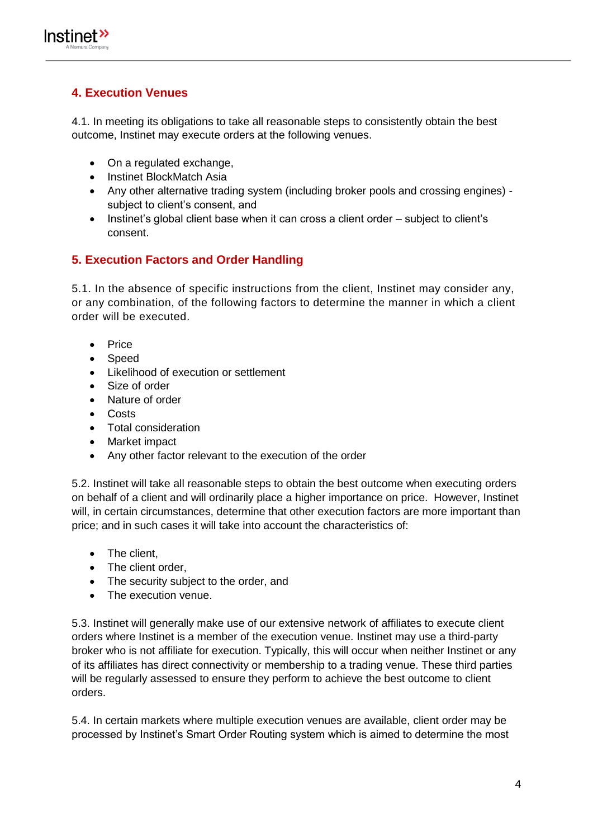

#### <span id="page-3-0"></span>**4. Execution Venues**

4.1. In meeting its obligations to take all reasonable steps to consistently obtain the best outcome, Instinet may execute orders at the following venues.

- On a regulated exchange,
- Instinet BlockMatch Asia
- Any other alternative trading system (including broker pools and crossing engines) subject to client's consent, and
- Instinet's global client base when it can cross a client order subject to client's consent.

#### <span id="page-3-1"></span>**5. Execution Factors and Order Handling**

5.1. In the absence of specific instructions from the client, Instinet may consider any, or any combination, of the following factors to determine the manner in which a client order will be executed.

- Price
- Speed
- Likelihood of execution or settlement
- Size of order
- Nature of order
- Costs
- Total consideration
- Market impact
- Any other factor relevant to the execution of the order

5.2. Instinet will take all reasonable steps to obtain the best outcome when executing orders on behalf of a client and will ordinarily place a higher importance on price. However, Instinet will, in certain circumstances, determine that other execution factors are more important than price; and in such cases it will take into account the characteristics of:

- The client,
- The client order.
- The security subject to the order, and
- The execution venue.

5.3. Instinet will generally make use of our extensive network of affiliates to execute client orders where Instinet is a member of the execution venue. Instinet may use a third-party broker who is not affiliate for execution. Typically, this will occur when neither Instinet or any of its affiliates has direct connectivity or membership to a trading venue. These third parties will be regularly assessed to ensure they perform to achieve the best outcome to client orders.

5.4. In certain markets where multiple execution venues are available, client order may be processed by Instinet's Smart Order Routing system which is aimed to determine the most